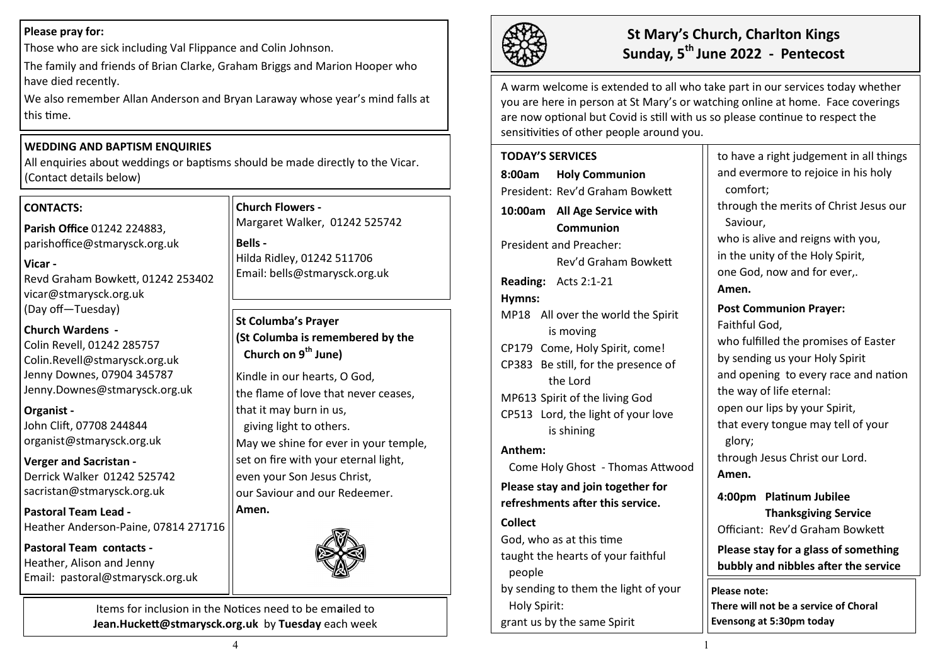### **Please pray for:**

Those who are sick including Val Flippance and Colin Johnson.

The family and friends of Brian Clarke, Graham Briggs and Marion Hooper who have died recently.

We also remember Allan Anderson and Bryan Laraway whose year's mind falls at this time.

## **WEDDING AND BAPTISM ENQUIRIES**

All enquiries about weddings or baptisms should be made directly to the Vicar. (Contact details below)

# **CONTACTS:**

**Parish Office** 01242 224883, parishoffice@stmarysck.org.uk

**Vicar -** Revd Graham Bowkett, 01242 253402 vicar@stmarysck.org.uk (Day off—Tuesday)

# **Church Wardens -**

Colin Revell, 01242 285757 Colin.Revell@stmarysck.org.uk Jenny Downes, 07904 345787 Jenny.Downes@stmarysck.org.uk

### **Organist -**

John Clift, 07708 244844 organist@stmarysck.org.uk

**Verger and Sacristan -** Derrick Walker 01242 525742 sacristan@stmarysck.org.uk

**Pastoral Team Lead -** Heather Anderson-Paine, 07814 271716

**Pastoral Team contacts -** Heather, Alison and Jenny Email: pastoral@stmarysck.org.uk

**Church Flowers -** Margaret Walker, 01242 525742

**Bells -** Hilda Ridley, 01242 511706 Email: bells@stmarysck.org.uk

# **St Columba's Prayer (St Columba is remembered by the Church on 9th June)**

Kindle in our hearts, O God, the flame of love that never ceases, that it may burn in us, giving light to others. May we shine for ever in your temple, set on fire with your eternal light, even your Son Jesus Christ, our Saviour and our Redeemer.

### **Amen.**



Items for inclusion in the Notices need to be em**a**iled to **Jean.Huckett@stmarysck.org.uk** by **Tuesday** each week



# **St Mary's Church, Charlton Kings Sunday, 5th June 2022 - Pentecost**

A warm welcome is extended to all who take part in our services today whether you are here in person at St Mary's or watching online at home. Face coverings are now optional but Covid is still with us so please continue to respect the sensitivities of other people around you.

**TODAY'S SERVICES 8:00am Holy Communion** President: Rev'd Graham Bowkett **10:00am All Age Service with Communion**  President and Preacher: Rev'd Graham Bowkett **Reading:** Acts 2:1-21 **Hymns:** MP18 All over the world the Spirit is moving CP179 Come, Holy Spirit, come! CP383 Be still, for the presence of the Lord MP613 Spirit of the living God CP513 Lord, the light of your love is shining **Anthem:**  Come Holy Ghost - Thomas Attwood **Please stay and join together for refreshments after this service. Collect**  God, who as at this time taught the hearts of your faithful people by sending to them the light of your Holy Spirit: grant us by the same Spirit to have a right judgement in all things

and evermore to rejoice in his holy comfort; through the merits of Christ Jesus our Saviour, who is alive and reigns with you, in the unity of the Holy Spirit, one God, now and for ever,. **Amen. Post Communion Prayer:** Faithful God, who fulfilled the promises of Easter by sending us your Holy Spirit and opening to every race and nation the way of life eternal: open our lips by your Spirit, that every tongue may tell of your glory; through Jesus Christ our Lord. **Amen. 4:00pm Platinum Jubilee Thanksgiving Service** Officiant: Rev'd Graham Bowkett **Please stay for a glass of something bubbly and nibbles after the service**

**Please note: There will not be a service of Choral Evensong at 5:30pm today**